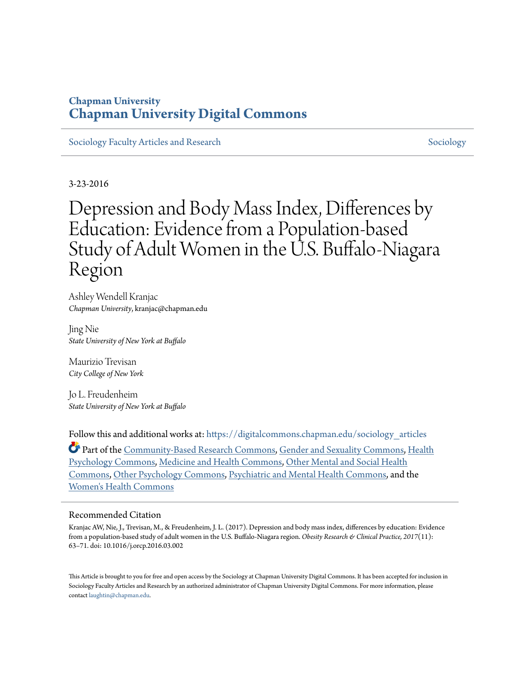#### **Chapman University [Chapman University Digital Commons](https://digitalcommons.chapman.edu?utm_source=digitalcommons.chapman.edu%2Fsociology_articles%2F40&utm_medium=PDF&utm_campaign=PDFCoverPages)**

[Sociology Faculty Articles and Research](https://digitalcommons.chapman.edu/sociology_articles?utm_source=digitalcommons.chapman.edu%2Fsociology_articles%2F40&utm_medium=PDF&utm_campaign=PDFCoverPages) [Sociology](https://digitalcommons.chapman.edu/sociology?utm_source=digitalcommons.chapman.edu%2Fsociology_articles%2F40&utm_medium=PDF&utm_campaign=PDFCoverPages) Sociology Sociology

3-23-2016

## Depression and Body Mass Index, Differences by Education: Evidence from a Population-based Study of Adult Women in the U.S. Buffalo-Niagara Region

Ashley Wendell Kranjac *Chapman University*, kranjac@chapman.edu

Jing Nie *State University of New York at Buffalo*

Maurizio Trevisan *City College of New York*

Jo L. Freudenheim *State University of New York at Buffalo*

Follow this and additional works at: [https://digitalcommons.chapman.edu/sociology\\_articles](https://digitalcommons.chapman.edu/sociology_articles?utm_source=digitalcommons.chapman.edu%2Fsociology_articles%2F40&utm_medium=PDF&utm_campaign=PDFCoverPages) Part of the [Community-Based Research Commons](http://network.bepress.com/hgg/discipline/1047?utm_source=digitalcommons.chapman.edu%2Fsociology_articles%2F40&utm_medium=PDF&utm_campaign=PDFCoverPages), [Gender and Sexuality Commons,](http://network.bepress.com/hgg/discipline/420?utm_source=digitalcommons.chapman.edu%2Fsociology_articles%2F40&utm_medium=PDF&utm_campaign=PDFCoverPages) [Health](http://network.bepress.com/hgg/discipline/411?utm_source=digitalcommons.chapman.edu%2Fsociology_articles%2F40&utm_medium=PDF&utm_campaign=PDFCoverPages) [Psychology Commons,](http://network.bepress.com/hgg/discipline/411?utm_source=digitalcommons.chapman.edu%2Fsociology_articles%2F40&utm_medium=PDF&utm_campaign=PDFCoverPages) [Medicine and Health Commons](http://network.bepress.com/hgg/discipline/422?utm_source=digitalcommons.chapman.edu%2Fsociology_articles%2F40&utm_medium=PDF&utm_campaign=PDFCoverPages), [Other Mental and Social Health](http://network.bepress.com/hgg/discipline/717?utm_source=digitalcommons.chapman.edu%2Fsociology_articles%2F40&utm_medium=PDF&utm_campaign=PDFCoverPages) [Commons,](http://network.bepress.com/hgg/discipline/717?utm_source=digitalcommons.chapman.edu%2Fsociology_articles%2F40&utm_medium=PDF&utm_campaign=PDFCoverPages) [Other Psychology Commons,](http://network.bepress.com/hgg/discipline/415?utm_source=digitalcommons.chapman.edu%2Fsociology_articles%2F40&utm_medium=PDF&utm_campaign=PDFCoverPages) [Psychiatric and Mental Health Commons,](http://network.bepress.com/hgg/discipline/711?utm_source=digitalcommons.chapman.edu%2Fsociology_articles%2F40&utm_medium=PDF&utm_campaign=PDFCoverPages) and the [Women's Health Commons](http://network.bepress.com/hgg/discipline/1241?utm_source=digitalcommons.chapman.edu%2Fsociology_articles%2F40&utm_medium=PDF&utm_campaign=PDFCoverPages)

#### Recommended Citation

Kranjac AW, Nie, J., Trevisan, M., & Freudenheim, J. L. (2017). Depression and body mass index, differences by education: Evidence from a population-based study of adult women in the U.S. Buffalo-Niagara region. *Obesity Research & Clinical Practice, 2017*(11): 63–71. doi: 10.1016/j.orcp.2016.03.002

This Article is brought to you for free and open access by the Sociology at Chapman University Digital Commons. It has been accepted for inclusion in Sociology Faculty Articles and Research by an authorized administrator of Chapman University Digital Commons. For more information, please contact [laughtin@chapman.edu](mailto:laughtin@chapman.edu).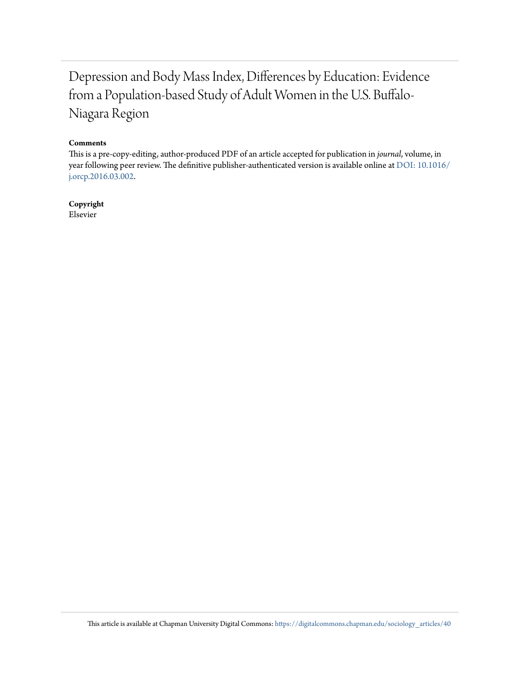## Depression and Body Mass Index, Differences by Education: Evidence from a Population-based Study of Adult Women in the U.S. Buffalo-Niagara Region

#### **Comments**

This is a pre-copy-editing, author-produced PDF of an article accepted for publication in *journal*, volume, in year following peer review. The definitive publisher-authenticated version is available online at [DOI: 10.1016/](https://doi.org/10.1016/j.orcp.2016.03.002) [j.orcp.2016.03.002](https://doi.org/10.1016/j.orcp.2016.03.002).

#### **Copyright** Elsevier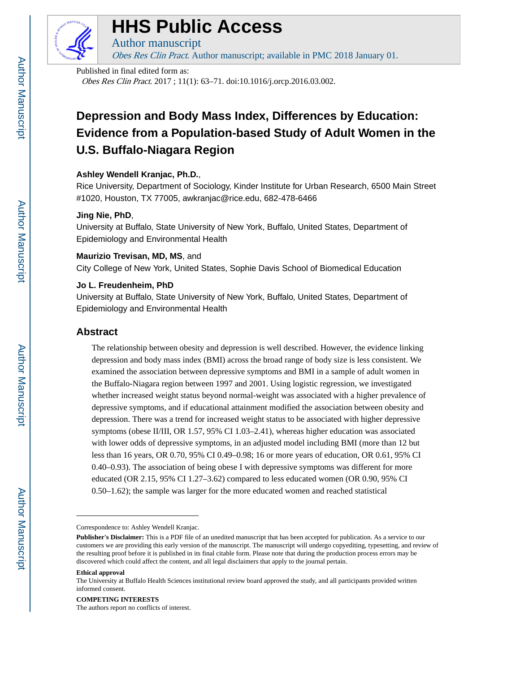

## **HHS Public Access**

Obes Res Clin Pract. Author manuscript; available in PMC 2018 January 01.

Published in final edited form as:

Author manuscript

Obes Res Clin Pract. 2017 ; 11(1): 63–71. doi:10.1016/j.orcp.2016.03.002.

### **Depression and Body Mass Index, Differences by Education: Evidence from a Population-based Study of Adult Women in the U.S. Buffalo-Niagara Region**

#### **Ashley Wendell Kranjac, Ph.D.**,

Rice University, Department of Sociology, Kinder Institute for Urban Research, 6500 Main Street #1020, Houston, TX 77005, awkranjac@rice.edu, 682-478-6466

#### **Jing Nie, PhD**,

University at Buffalo, State University of New York, Buffalo, United States, Department of Epidemiology and Environmental Health

**Maurizio Trevisan, MD, MS**, and City College of New York, United States, Sophie Davis School of Biomedical Education

#### **Jo L. Freudenheim, PhD**

University at Buffalo, State University of New York, Buffalo, United States, Department of Epidemiology and Environmental Health

#### **Abstract**

The relationship between obesity and depression is well described. However, the evidence linking depression and body mass index (BMI) across the broad range of body size is less consistent. We examined the association between depressive symptoms and BMI in a sample of adult women in the Buffalo-Niagara region between 1997 and 2001. Using logistic regression, we investigated whether increased weight status beyond normal-weight was associated with a higher prevalence of depressive symptoms, and if educational attainment modified the association between obesity and depression. There was a trend for increased weight status to be associated with higher depressive symptoms (obese II/III, OR 1.57, 95% CI 1.03–2.41), whereas higher education was associated with lower odds of depressive symptoms, in an adjusted model including BMI (more than 12 but less than 16 years, OR 0.70, 95% CI 0.49–0.98; 16 or more years of education, OR 0.61, 95% CI 0.40–0.93). The association of being obese I with depressive symptoms was different for more educated (OR 2.15, 95% CI 1.27–3.62) compared to less educated women (OR 0.90, 95% CI 0.50–1.62); the sample was larger for the more educated women and reached statistical

#### **Ethical approval**

#### **COMPETING INTERESTS**

The authors report no conflicts of interest.

Correspondence to: Ashley Wendell Kranjac.

**Publisher's Disclaimer:** This is a PDF file of an unedited manuscript that has been accepted for publication. As a service to our customers we are providing this early version of the manuscript. The manuscript will undergo copyediting, typesetting, and review of the resulting proof before it is published in its final citable form. Please note that during the production process errors may be discovered which could affect the content, and all legal disclaimers that apply to the journal pertain.

The University at Buffalo Health Sciences institutional review board approved the study, and all participants provided written informed consent.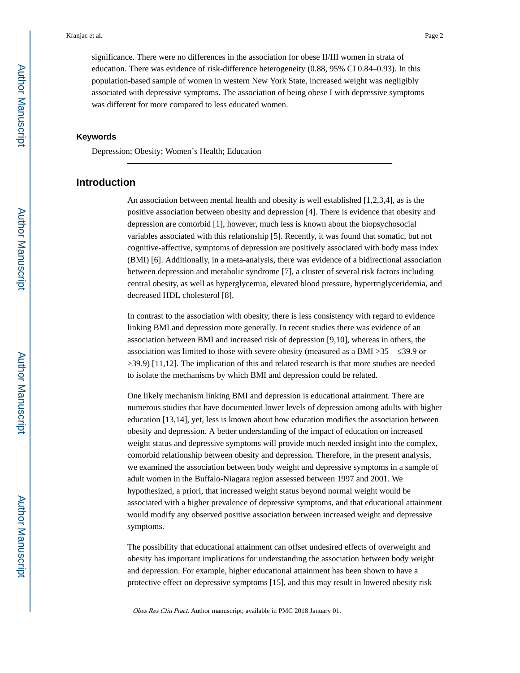significance. There were no differences in the association for obese II/III women in strata of education. There was evidence of risk-difference heterogeneity (0.88, 95% CI 0.84–0.93). In this population-based sample of women in western New York State, increased weight was negligibly associated with depressive symptoms. The association of being obese I with depressive symptoms was different for more compared to less educated women.

#### **Keywords**

Depression; Obesity; Women's Health; Education

#### **Introduction**

An association between mental health and obesity is well established [1,2,3,4], as is the positive association between obesity and depression [4]. There is evidence that obesity and depression are comorbid [1], however, much less is known about the biopsychosocial variables associated with this relationship [5]. Recently, it was found that somatic, but not cognitive-affective, symptoms of depression are positively associated with body mass index (BMI) [6]. Additionally, in a meta-analysis, there was evidence of a bidirectional association between depression and metabolic syndrome [7], a cluster of several risk factors including central obesity, as well as hyperglycemia, elevated blood pressure, hypertriglyceridemia, and decreased HDL cholesterol [8].

In contrast to the association with obesity, there is less consistency with regard to evidence linking BMI and depression more generally. In recent studies there was evidence of an association between BMI and increased risk of depression [9,10], whereas in others, the association was limited to those with severe obesity (measured as a BMI  $>35 - 39.9$  or >39.9) [11,12]. The implication of this and related research is that more studies are needed to isolate the mechanisms by which BMI and depression could be related.

One likely mechanism linking BMI and depression is educational attainment. There are numerous studies that have documented lower levels of depression among adults with higher education [13,14], yet, less is known about how education modifies the association between obesity and depression. A better understanding of the impact of education on increased weight status and depressive symptoms will provide much needed insight into the complex, comorbid relationship between obesity and depression. Therefore, in the present analysis, we examined the association between body weight and depressive symptoms in a sample of adult women in the Buffalo-Niagara region assessed between 1997 and 2001. We hypothesized, a priori, that increased weight status beyond normal weight would be associated with a higher prevalence of depressive symptoms, and that educational attainment would modify any observed positive association between increased weight and depressive symptoms.

The possibility that educational attainment can offset undesired effects of overweight and obesity has important implications for understanding the association between body weight and depression. For example, higher educational attainment has been shown to have a protective effect on depressive symptoms [15], and this may result in lowered obesity risk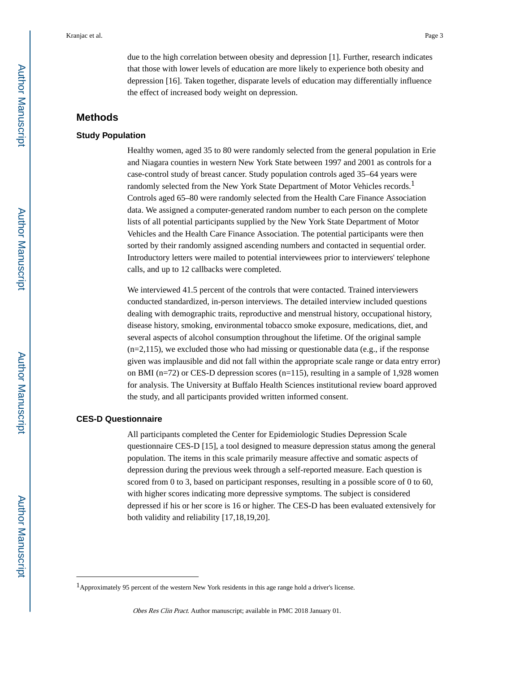due to the high correlation between obesity and depression [1]. Further, research indicates that those with lower levels of education are more likely to experience both obesity and depression [16]. Taken together, disparate levels of education may differentially influence the effect of increased body weight on depression.

#### **Methods**

#### **Study Population**

Healthy women, aged 35 to 80 were randomly selected from the general population in Erie and Niagara counties in western New York State between 1997 and 2001 as controls for a case-control study of breast cancer. Study population controls aged 35–64 years were randomly selected from the New York State Department of Motor Vehicles records.<sup>1</sup> Controls aged 65–80 were randomly selected from the Health Care Finance Association data. We assigned a computer-generated random number to each person on the complete lists of all potential participants supplied by the New York State Department of Motor Vehicles and the Health Care Finance Association. The potential participants were then sorted by their randomly assigned ascending numbers and contacted in sequential order. Introductory letters were mailed to potential interviewees prior to interviewers' telephone calls, and up to 12 callbacks were completed.

We interviewed 41.5 percent of the controls that were contacted. Trained interviewers conducted standardized, in-person interviews. The detailed interview included questions dealing with demographic traits, reproductive and menstrual history, occupational history, disease history, smoking, environmental tobacco smoke exposure, medications, diet, and several aspects of alcohol consumption throughout the lifetime. Of the original sample  $(n=2,115)$ , we excluded those who had missing or questionable data (e.g., if the response given was implausible and did not fall within the appropriate scale range or data entry error) on BMI (n=72) or CES-D depression scores (n=115), resulting in a sample of 1,928 women for analysis. The University at Buffalo Health Sciences institutional review board approved the study, and all participants provided written informed consent.

#### **CES-D Questionnaire**

All participants completed the Center for Epidemiologic Studies Depression Scale questionnaire CES-D [15], a tool designed to measure depression status among the general population. The items in this scale primarily measure affective and somatic aspects of depression during the previous week through a self-reported measure. Each question is scored from 0 to 3, based on participant responses, resulting in a possible score of 0 to 60, with higher scores indicating more depressive symptoms. The subject is considered depressed if his or her score is 16 or higher. The CES-D has been evaluated extensively for both validity and reliability [17,18,19,20].

<sup>1</sup>Approximately 95 percent of the western New York residents in this age range hold a driver's license.

Obes Res Clin Pract. Author manuscript; available in PMC 2018 January 01.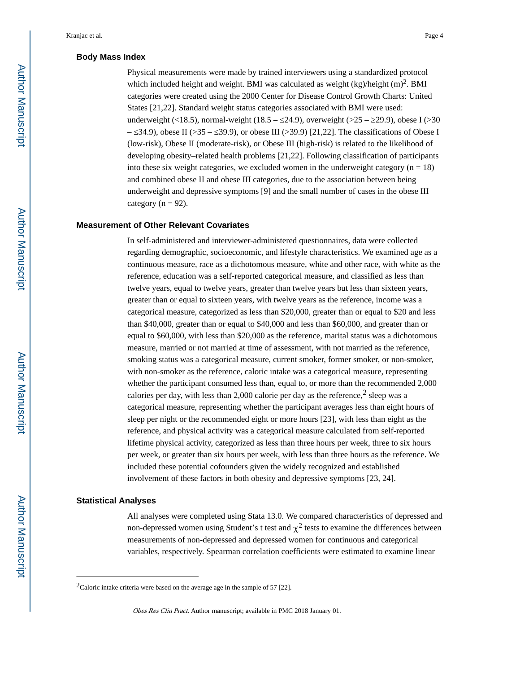#### **Body Mass Index**

Physical measurements were made by trained interviewers using a standardized protocol which included height and weight. BMI was calculated as weight  $(kg)/\hbar$ eight  $(m)^2$ . BMI categories were created using the 2000 Center for Disease Control Growth Charts: United States [21,22]. Standard weight status categories associated with BMI were used: underweight (<18.5), normal-weight (18.5 – 24.9), overweight (>25 – 29.9), obese I (>30 – 34.9), obese II (>35 – 39.9), or obese III (>39.9) [21,22]. The classifications of Obese I (low-risk), Obese II (moderate-risk), or Obese III (high-risk) is related to the likelihood of developing obesity–related health problems [21,22]. Following classification of participants into these six weight categories, we excluded women in the underweight category  $(n = 18)$ and combined obese II and obese III categories, due to the association between being underweight and depressive symptoms [9] and the small number of cases in the obese III category ( $n = 92$ ).

#### **Measurement of Other Relevant Covariates**

In self-administered and interviewer-administered questionnaires, data were collected regarding demographic, socioeconomic, and lifestyle characteristics. We examined age as a continuous measure, race as a dichotomous measure, white and other race, with white as the reference, education was a self-reported categorical measure, and classified as less than twelve years, equal to twelve years, greater than twelve years but less than sixteen years, greater than or equal to sixteen years, with twelve years as the reference, income was a categorical measure, categorized as less than \$20,000, greater than or equal to \$20 and less than \$40,000, greater than or equal to \$40,000 and less than \$60,000, and greater than or equal to \$60,000, with less than \$20,000 as the reference, marital status was a dichotomous measure, married or not married at time of assessment, with not married as the reference, smoking status was a categorical measure, current smoker, former smoker, or non-smoker, with non-smoker as the reference, caloric intake was a categorical measure, representing whether the participant consumed less than, equal to, or more than the recommended 2,000 calories per day, with less than 2,000 calorie per day as the reference,  $\frac{2}{3}$  sleep was a categorical measure, representing whether the participant averages less than eight hours of sleep per night or the recommended eight or more hours [23], with less than eight as the reference, and physical activity was a categorical measure calculated from self-reported lifetime physical activity, categorized as less than three hours per week, three to six hours per week, or greater than six hours per week, with less than three hours as the reference. We included these potential cofounders given the widely recognized and established involvement of these factors in both obesity and depressive symptoms [23, 24].

#### **Statistical Analyses**

All analyses were completed using Stata 13.0. We compared characteristics of depressed and non-depressed women using Student's t test and  $\chi^2$  tests to examine the differences between measurements of non-depressed and depressed women for continuous and categorical variables, respectively. Spearman correlation coefficients were estimated to examine linear

<sup>&</sup>lt;sup>2</sup>Caloric intake criteria were based on the average age in the sample of 57 [22].

Obes Res Clin Pract. Author manuscript; available in PMC 2018 January 01.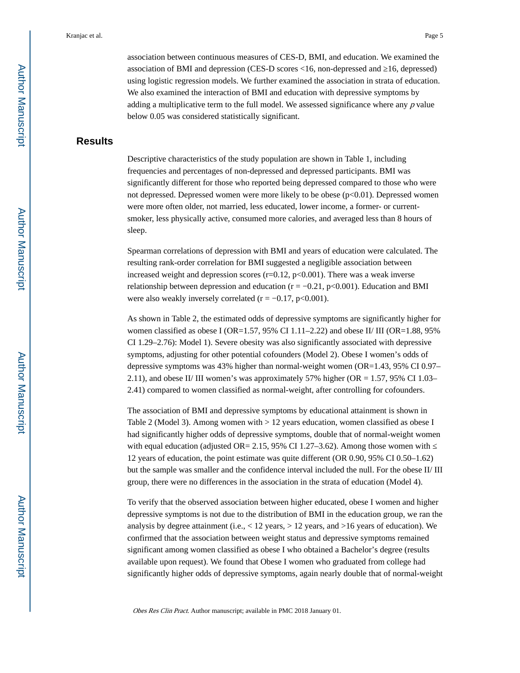association between continuous measures of CES-D, BMI, and education. We examined the association of BMI and depression (CES-D scores  $<16$ , non-depressed and  $\bar{16}$ , depressed) using logistic regression models. We further examined the association in strata of education. We also examined the interaction of BMI and education with depressive symptoms by adding a multiplicative term to the full model. We assessed significance where any  *value* below 0.05 was considered statistically significant.

#### **Results**

Descriptive characteristics of the study population are shown in Table 1, including frequencies and percentages of non-depressed and depressed participants. BMI was significantly different for those who reported being depressed compared to those who were not depressed. Depressed women were more likely to be obese  $(p<0.01)$ . Depressed women were more often older, not married, less educated, lower income, a former- or currentsmoker, less physically active, consumed more calories, and averaged less than 8 hours of sleep.

Spearman correlations of depression with BMI and years of education were calculated. The resulting rank-order correlation for BMI suggested a negligible association between increased weight and depression scores ( $r=0.12$ ,  $p<0.001$ ). There was a weak inverse relationship between depression and education ( $r = -0.21$ ,  $p < 0.001$ ). Education and BMI were also weakly inversely correlated ( $r = -0.17$ ,  $p < 0.001$ ).

As shown in Table 2, the estimated odds of depressive symptoms are significantly higher for women classified as obese I (OR=1.57, 95% CI 1.11–2.22) and obese II/ III (OR=1.88, 95% CI 1.29–2.76): Model 1). Severe obesity was also significantly associated with depressive symptoms, adjusting for other potential cofounders (Model 2). Obese I women's odds of depressive symptoms was 43% higher than normal-weight women (OR=1.43, 95% CI 0.97– 2.11), and obese II/ III women's was approximately 57% higher (OR =  $1.57$ , 95% CI 1.03– 2.41) compared to women classified as normal-weight, after controlling for cofounders.

The association of BMI and depressive symptoms by educational attainment is shown in Table 2 (Model 3). Among women with > 12 years education, women classified as obese I had significantly higher odds of depressive symptoms, double that of normal-weight women with equal education (adjusted OR=  $2.15$ , 95% CI 1.27–3.62). Among those women with 12 years of education, the point estimate was quite different (OR 0.90, 95% CI 0.50–1.62) but the sample was smaller and the confidence interval included the null. For the obese II/ III group, there were no differences in the association in the strata of education (Model 4).

To verify that the observed association between higher educated, obese I women and higher depressive symptoms is not due to the distribution of BMI in the education group, we ran the analysis by degree attainment (i.e.,  $< 12$  years,  $> 12$  years, and  $> 16$  years of education). We confirmed that the association between weight status and depressive symptoms remained significant among women classified as obese I who obtained a Bachelor's degree (results available upon request). We found that Obese I women who graduated from college had significantly higher odds of depressive symptoms, again nearly double that of normal-weight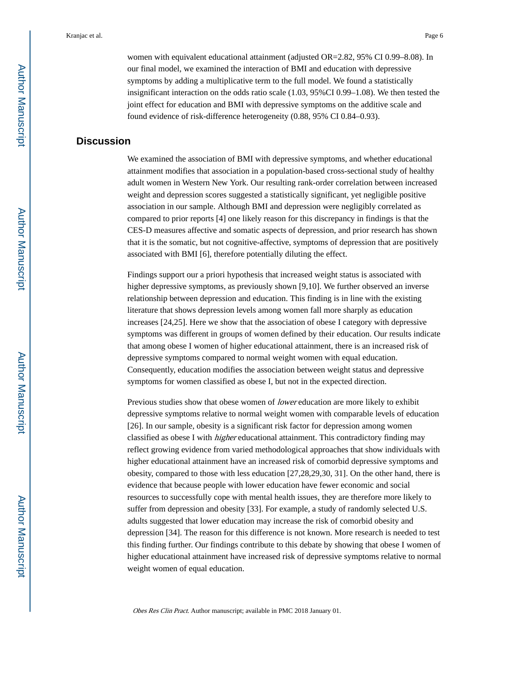women with equivalent educational attainment (adjusted OR=2.82, 95% CI 0.99–8.08). In our final model, we examined the interaction of BMI and education with depressive symptoms by adding a multiplicative term to the full model. We found a statistically insignificant interaction on the odds ratio scale (1.03, 95%CI 0.99–1.08). We then tested the joint effect for education and BMI with depressive symptoms on the additive scale and found evidence of risk-difference heterogeneity (0.88, 95% CI 0.84–0.93).

#### **Discussion**

We examined the association of BMI with depressive symptoms, and whether educational attainment modifies that association in a population-based cross-sectional study of healthy adult women in Western New York. Our resulting rank-order correlation between increased weight and depression scores suggested a statistically significant, yet negligible positive association in our sample. Although BMI and depression were negligibly correlated as compared to prior reports [4] one likely reason for this discrepancy in findings is that the CES-D measures affective and somatic aspects of depression, and prior research has shown that it is the somatic, but not cognitive-affective, symptoms of depression that are positively associated with BMI [6], therefore potentially diluting the effect.

Findings support our a priori hypothesis that increased weight status is associated with higher depressive symptoms, as previously shown [9,10]. We further observed an inverse relationship between depression and education. This finding is in line with the existing literature that shows depression levels among women fall more sharply as education increases [24,25]. Here we show that the association of obese I category with depressive symptoms was different in groups of women defined by their education. Our results indicate that among obese I women of higher educational attainment, there is an increased risk of depressive symptoms compared to normal weight women with equal education. Consequently, education modifies the association between weight status and depressive symptoms for women classified as obese I, but not in the expected direction.

Previous studies show that obese women of *lower* education are more likely to exhibit depressive symptoms relative to normal weight women with comparable levels of education [26]. In our sample, obesity is a significant risk factor for depression among women classified as obese I with higher educational attainment. This contradictory finding may reflect growing evidence from varied methodological approaches that show individuals with higher educational attainment have an increased risk of comorbid depressive symptoms and obesity, compared to those with less education [27,28,29,30, 31]. On the other hand, there is evidence that because people with lower education have fewer economic and social resources to successfully cope with mental health issues, they are therefore more likely to suffer from depression and obesity [33]. For example, a study of randomly selected U.S. adults suggested that lower education may increase the risk of comorbid obesity and depression [34]. The reason for this difference is not known. More research is needed to test this finding further. Our findings contribute to this debate by showing that obese I women of higher educational attainment have increased risk of depressive symptoms relative to normal weight women of equal education.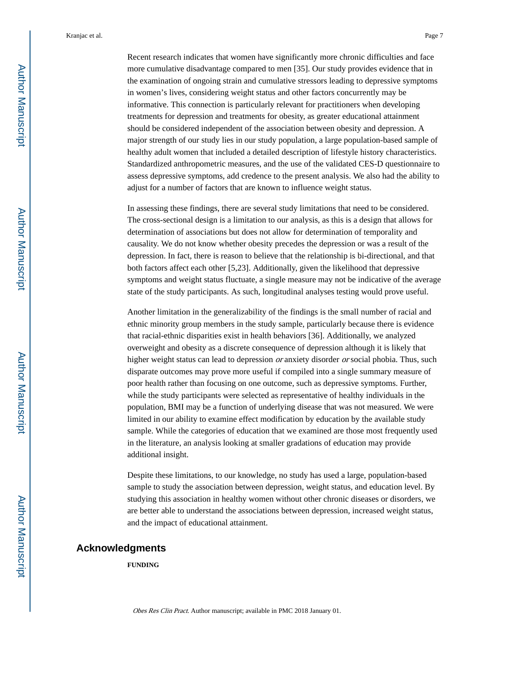Kranjac et al. Page 7

Recent research indicates that women have significantly more chronic difficulties and face more cumulative disadvantage compared to men [35]. Our study provides evidence that in the examination of ongoing strain and cumulative stressors leading to depressive symptoms in women's lives, considering weight status and other factors concurrently may be informative. This connection is particularly relevant for practitioners when developing treatments for depression and treatments for obesity, as greater educational attainment should be considered independent of the association between obesity and depression. A major strength of our study lies in our study population, a large population-based sample of healthy adult women that included a detailed description of lifestyle history characteristics. Standardized anthropometric measures, and the use of the validated CES-D questionnaire to assess depressive symptoms, add credence to the present analysis. We also had the ability to adjust for a number of factors that are known to influence weight status.

In assessing these findings, there are several study limitations that need to be considered. The cross-sectional design is a limitation to our analysis, as this is a design that allows for determination of associations but does not allow for determination of temporality and causality. We do not know whether obesity precedes the depression or was a result of the depression. In fact, there is reason to believe that the relationship is bi-directional, and that both factors affect each other [5,23]. Additionally, given the likelihood that depressive symptoms and weight status fluctuate, a single measure may not be indicative of the average state of the study participants. As such, longitudinal analyses testing would prove useful.

Another limitation in the generalizability of the findings is the small number of racial and ethnic minority group members in the study sample, particularly because there is evidence that racial-ethnic disparities exist in health behaviors [36]. Additionally, we analyzed overweight and obesity as a discrete consequence of depression although it is likely that higher weight status can lead to depression or anxiety disorder or social phobia. Thus, such disparate outcomes may prove more useful if compiled into a single summary measure of poor health rather than focusing on one outcome, such as depressive symptoms. Further, while the study participants were selected as representative of healthy individuals in the population, BMI may be a function of underlying disease that was not measured. We were limited in our ability to examine effect modification by education by the available study sample. While the categories of education that we examined are those most frequently used in the literature, an analysis looking at smaller gradations of education may provide additional insight.

Despite these limitations, to our knowledge, no study has used a large, population-based sample to study the association between depression, weight status, and education level. By studying this association in healthy women without other chronic diseases or disorders, we are better able to understand the associations between depression, increased weight status, and the impact of educational attainment.

#### **Acknowledgments**

**FUNDING**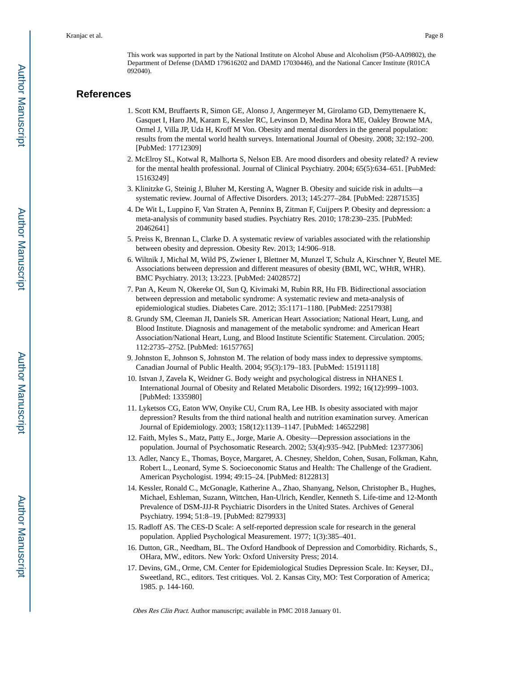This work was supported in part by the National Institute on Alcohol Abuse and Alcoholism (P50-AA09802), the Department of Defense (DAMD 179616202 and DAMD 17030446), and the National Cancer Institute (R01CA 092040).

#### **References**

- 1. Scott KM, Bruffaerts R, Simon GE, Alonso J, Angermeyer M, Girolamo GD, Demyttenaere K, Gasquet I, Haro JM, Karam E, Kessler RC, Levinson D, Medina Mora ME, Oakley Browne MA, Ormel J, Villa JP, Uda H, Kroff M Von. Obesity and mental disorders in the general population: results from the mental world health surveys. International Journal of Obesity. 2008; 32:192–200. [PubMed: 17712309]
- 2. McElroy SL, Kotwal R, Malhorta S, Nelson EB. Are mood disorders and obesity related? A review for the mental health professional. Journal of Clinical Psychiatry. 2004; 65(5):634–651. [PubMed: 15163249]
- 3. Klinitzke G, Steinig J, Bluher M, Kersting A, Wagner B. Obesity and suicide risk in adults—a systematic review. Journal of Affective Disorders. 2013; 145:277–284. [PubMed: 22871535]
- 4. De Wit L, Luppino F, Van Straten A, Penninx B, Zitman F, Cuijpers P. Obesity and depression: a meta-analysis of community based studies. Psychiatry Res. 2010; 178:230–235. [PubMed: 20462641]
- 5. Preiss K, Brennan L, Clarke D. A systematic review of variables associated with the relationship between obesity and depression. Obesity Rev. 2013; 14:906–918.
- 6. Wiltnik J, Michal M, Wild PS, Zwiener I, Blettner M, Munzel T, Schulz A, Kirschner Y, Beutel ME. Associations between depression and different measures of obesity (BMI, WC, WHtR, WHR). BMC Psychiatry. 2013; 13:223. [PubMed: 24028572]
- 7. Pan A, Keum N, Okereke OI, Sun Q, Kivimaki M, Rubin RR, Hu FB. Bidirectional association between depression and metabolic syndrome: A systematic review and meta-analysis of epidemiological studies. Diabetes Care. 2012; 35:1171–1180. [PubMed: 22517938]
- 8. Grundy SM, Cleeman JI, Daniels SR. American Heart Association; National Heart, Lung, and Blood Institute. Diagnosis and management of the metabolic syndrome: and American Heart Association/National Heart, Lung, and Blood Institute Scientific Statement. Circulation. 2005; 112:2735–2752. [PubMed: 16157765]
- 9. Johnston E, Johnson S, Johnston M. The relation of body mass index to depressive symptoms. Canadian Journal of Public Health. 2004; 95(3):179–183. [PubMed: 15191118]
- 10. Istvan J, Zavela K, Weidner G. Body weight and psychological distress in NHANES I. International Journal of Obesity and Related Metabolic Disorders. 1992; 16(12):999–1003. [PubMed: 1335980]
- 11. Lyketsos CG, Eaton WW, Onyike CU, Crum RA, Lee HB. Is obesity associated with major depression? Results from the third national health and nutrition examination survey. American Journal of Epidemiology. 2003; 158(12):1139–1147. [PubMed: 14652298]
- 12. Faith, Myles S., Matz, Patty E., Jorge, Marie A. Obesity—Depression associations in the population. Journal of Psychosomatic Research. 2002; 53(4):935–942. [PubMed: 12377306]
- 13. Adler, Nancy E., Thomas, Boyce, Margaret, A. Chesney, Sheldon, Cohen, Susan, Folkman, Kahn, Robert L., Leonard, Syme S. Socioeconomic Status and Health: The Challenge of the Gradient. American Psychologist. 1994; 49:15–24. [PubMed: 8122813]
- 14. Kessler, Ronald C., McGonagle, Katherine A., Zhao, Shanyang, Nelson, Christopher B., Hughes, Michael, Eshleman, Suzann, Wittchen, Han-Ulrich, Kendler, Kenneth S. Life-time and 12-Month Prevalence of DSM-JJJ-R Psychiatric Disorders in the United States. Archives of General Psychiatry. 1994; 51:8–19. [PubMed: 8279933]
- 15. Radloff AS. The CES-D Scale: A self-reported depression scale for research in the general population. Applied Psychological Measurement. 1977; 1(3):385–401.
- 16. Dutton, GR., Needham, BL. The Oxford Handbook of Depression and Comorbidity. Richards, S., OHara, MW., editors. New York: Oxford University Press; 2014.
- 17. Devins, GM., Orme, CM. Center for Epidemiological Studies Depression Scale. In: Keyser, DJ., Sweetland, RC., editors. Test critiques. Vol. 2. Kansas City, MO: Test Corporation of America; 1985. p. 144-160.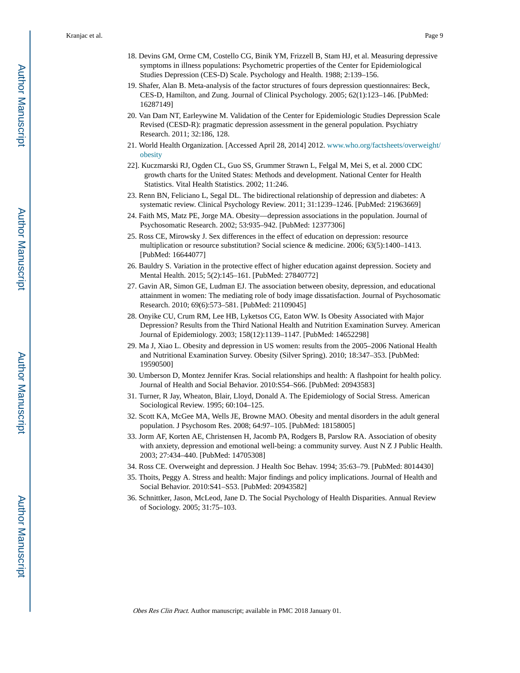Kranjac et al. Page 9

- 18. Devins GM, Orme CM, Costello CG, Binik YM, Frizzell B, Stam HJ, et al. Measuring depressive symptoms in illness populations: Psychometric properties of the Center for Epidemiological Studies Depression (CES-D) Scale. Psychology and Health. 1988; 2:139–156.
- 19. Shafer, Alan B. Meta-analysis of the factor structures of fours depression questionnaires: Beck, CES-D, Hamilton, and Zung. Journal of Clinical Psychology. 2005; 62(1):123–146. [PubMed: 16287149]
- 20. Van Dam NT, Earleywine M. Validation of the Center for Epidemiologic Studies Depression Scale Revised (CESD-R): pragmatic depression assessment in the general population. Psychiatry Research. 2011; 32:186, 128.
- 21. World Health Organization. [Accessed April 28, 2014] 2012. [www.who.org/factsheets/overweight/](http://www.who.org/factsheets/overweight/obesity) [obesity](http://www.who.org/factsheets/overweight/obesity)
- 22]. Kuczmarski RJ, Ogden CL, Guo SS, Grummer Strawn L, Felgal M, Mei S, et al. 2000 CDC growth charts for the United States: Methods and development. National Center for Health Statistics. Vital Health Statistics. 2002; 11:246.
- 23. Renn BN, Feliciano L, Segal DL. The bidirectional relationship of depression and diabetes: A systematic review. Clinical Psychology Review. 2011; 31:1239–1246. [PubMed: 21963669]
- 24. Faith MS, Matz PE, Jorge MA. Obesity—depression associations in the population. Journal of Psychosomatic Research. 2002; 53:935–942. [PubMed: 12377306]
- 25. Ross CE, Mirowsky J. Sex differences in the effect of education on depression: resource multiplication or resource substitution? Social science & medicine. 2006; 63(5):1400–1413. [PubMed: 16644077]
- 26. Bauldry S. Variation in the protective effect of higher education against depression. Society and Mental Health. 2015; 5(2):145–161. [PubMed: 27840772]
- 27. Gavin AR, Simon GE, Ludman EJ. The association between obesity, depression, and educational attainment in women: The mediating role of body image dissatisfaction. Journal of Psychosomatic Research. 2010; 69(6):573–581. [PubMed: 21109045]
- 28. Onyike CU, Crum RM, Lee HB, Lyketsos CG, Eaton WW. Is Obesity Associated with Major Depression? Results from the Third National Health and Nutrition Examination Survey. American Journal of Epidemiology. 2003; 158(12):1139–1147. [PubMed: 14652298]
- 29. Ma J, Xiao L. Obesity and depression in US women: results from the 2005–2006 National Health and Nutritional Examination Survey. Obesity (Silver Spring). 2010; 18:347–353. [PubMed: 19590500]
- 30. Umberson D, Montez Jennifer Kras. Social relationships and health: A flashpoint for health policy. Journal of Health and Social Behavior. 2010:S54–S66. [PubMed: 20943583]
- 31. Turner, R Jay, Wheaton, Blair, Lloyd, Donald A. The Epidemiology of Social Stress. American Sociological Review. 1995; 60:104–125.
- 32. Scott KA, McGee MA, Wells JE, Browne MAO. Obesity and mental disorders in the adult general population. J Psychosom Res. 2008; 64:97–105. [PubMed: 18158005]
- 33. Jorm AF, Korten AE, Christensen H, Jacomb PA, Rodgers B, Parslow RA. Association of obesity with anxiety, depression and emotional well-being: a community survey. Aust N Z J Public Health. 2003; 27:434–440. [PubMed: 14705308]
- 34. Ross CE. Overweight and depression. J Health Soc Behav. 1994; 35:63–79. [PubMed: 8014430]
- 35. Thoits, Peggy A. Stress and health: Major findings and policy implications. Journal of Health and Social Behavior. 2010:S41–S53. [PubMed: 20943582]
- 36. Schnittker, Jason, McLeod, Jane D. The Social Psychology of Health Disparities. Annual Review of Sociology. 2005; 31:75–103.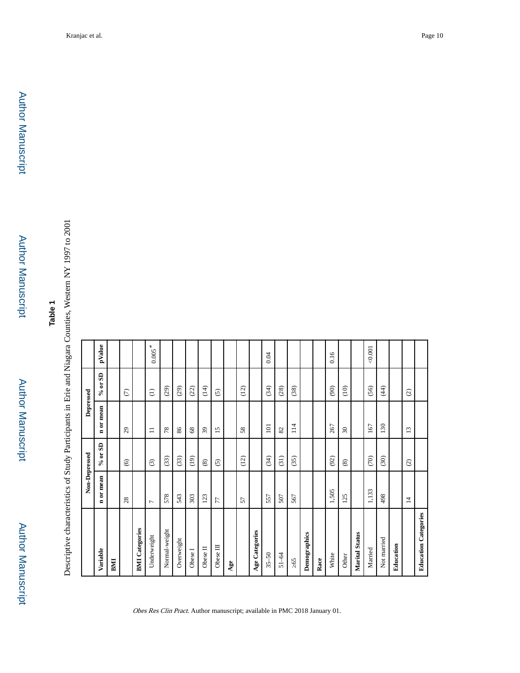Author Manuscript

**Author Manuscript** 

Descriptive characteristics of Study Participants in Erie and Niagara Counties, Western NY 1997 to 2001 Descriptive characteristics of Study Participants in Erie and Niagara Counties, Western NY 1997 to 2001

|                             | Non-Depressed  |               | Depressed       |                    |          |
|-----------------------------|----------------|---------------|-----------------|--------------------|----------|
|                             |                |               |                 |                    |          |
| Variable                    | n or mean      | $%$ or SD     | n or mean       | $\%$ or SD         | pValue   |
| BMI                         |                |               |                 |                    |          |
|                             | 28             | $\odot$       | 29              | $\epsilon$         |          |
| <b>BMI</b> Categories       |                |               |                 |                    |          |
| Underweight                 | $\overline{ }$ | $\odot$       | $\equiv$        | $\ominus$          | $0.005*$ |
| Normal-weight               | 578            | (33)          | 78              | (29)               |          |
| Overweight                  | 543            | (33)          | 86              | (29)               |          |
| Obese I                     | 303            | (19)          | $68\,$          | (22)               |          |
| Obese II                    | 123            | $^\circledR$  | 39              | (14)               |          |
| Obese III                   | 77             | $\odot$       | 15              | $\widehat{c}$      |          |
| Age                         |                |               |                 |                    |          |
|                             | 57             | (12)          | 58              | (12)               |          |
| Age Categories              |                |               |                 |                    |          |
| $35 - 50$                   | 557            | (34)          | $\overline{a}$  | (34)               | 0.04     |
| $51 - 64$                   | 507            | (31)          | 82              | (28)               |          |
| 65                          | 567            | (35)          | $\overline{11}$ | (38)               |          |
| Demographics                |                |               |                 |                    |          |
| Race                        |                |               |                 |                    |          |
| White                       | 1,505          | (92)          | 267             | (90)               | 0.16     |
| Other                       | 125            | $\circledast$ | $30\,$          | (10)               |          |
| <b>Marital Status</b>       |                |               |                 |                    |          |
| Married                     | 1,133          | (70)          | 167             | (56)               | 0.001    |
| Not married                 | 498            | (30)          | 130             | $\overline{4}$     |          |
| Education                   |                |               |                 |                    |          |
|                             | $\overline{4}$ | $\widehat{c}$ | 13              | $\widehat{\omega}$ |          |
| <b>Education Categories</b> |                |               |                 |                    |          |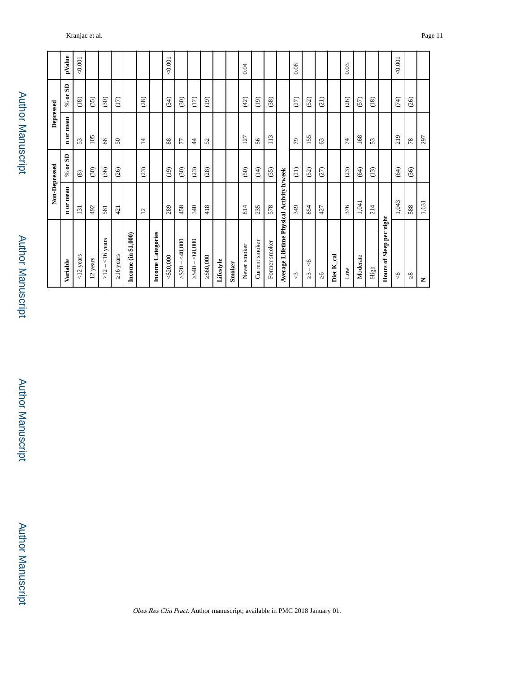| ×      |
|--------|
| í      |
| í<br>l |
|        |
| į      |
| h      |
|        |
|        |
|        |
| ٠      |
|        |
|        |
|        |

Author Manuscript

**Author Manuscript** 

|  | all |
|--|-----|
|  | 5   |

Г

|                                           | Non-Depressed  |               | Depressed      |                         |        |
|-------------------------------------------|----------------|---------------|----------------|-------------------------|--------|
| Variable                                  | n or mean      | % or $SD$     | n or mean      | $\mathbf{s}$<br>$\%$ or | pValue |
| $<$ 12 years                              | 131            | $\circledast$ | 53             | (18)                    | 0.001  |
| 12 years                                  | 492            | (30)          | 105            | (35)                    |        |
| years<br>$\leqslant$<br>$\geq$            | 581            | (36)          | 88             | (30)                    |        |
| 16 years                                  | 421            | (26)          | $50\,$         | (17)                    |        |
| Income (in \$1,000)                       |                |               |                |                         |        |
|                                           | $\overline{2}$ | (23)          | $\overline{1}$ | (28)                    |        |
| <b>Income Categories</b>                  |                |               |                |                         |        |
| < \$20,000                                | 289            | (19)          | 88             | (34)                    | 0.001  |
| <40,000<br>\$20.                          | 458            | (30)          | 77             | (30)                    |        |
| $$40 - 60,000$                            | 340            | (23)          | $\ddot{4}$     | (17)                    |        |
| \$60,000                                  | 418            | (28)          | 52             | (19)                    |        |
| Lifestyle                                 |                |               |                |                         |        |
| Smoker                                    |                |               |                |                         |        |
| Never smoker                              | 814            | (50)          | 127            | (42)                    | 0.04   |
| Current smoker                            | 235            | (14)          | 56             | (19)                    |        |
| Former smoker                             | 578            | (35)          | 113            | (38)                    |        |
| Average Lifetime Physical Activity h/week |                |               |                |                         |        |
| $\heartsuit$                              | 349            | (21)          | 79             | (27)                    | 0.08   |
| $\sqrt{6}$<br>$\epsilon$                  | 854            | (52)          | 155            | (52)                    |        |
| $\circ$                                   | 427            | (27)          | $\mathbb{S}^3$ | (21)                    |        |
| $\overline{\mathbf{c}}$<br>Diet K         |                |               |                |                         |        |
| Low                                       | 376            | (23)          | $\sharp$       | (26)                    | 0.03   |
| Moderate                                  | 1,041          | (64)          | 168            | (57)                    |        |
| High                                      | 214            | (13)          | 53             | (18)                    |        |
| Hours of Sleep per night                  |                |               |                |                         |        |
| $\sqrt{8}$                                | 1,043          | (64)          | 219            | (74)                    | 0.001  |
| ${}^{\circ}$                              | 588            | (36)          | 78             | (26)                    |        |
| Z                                         | 1,631          |               | 297            |                         |        |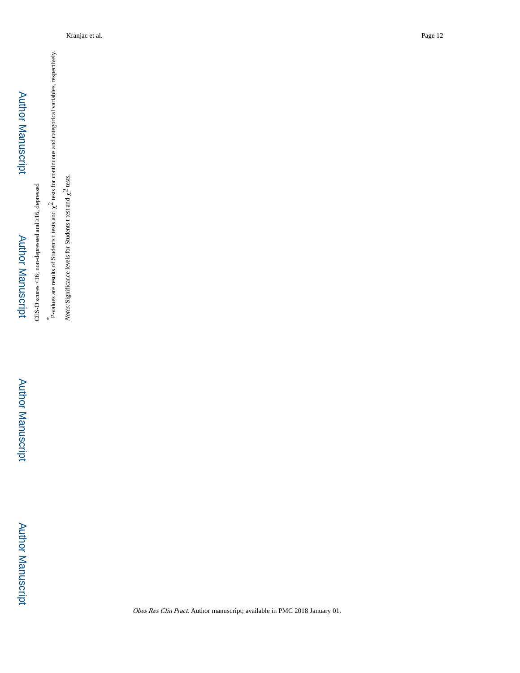Author Manuscript**Author Manuscript** 

# Author Manuscript Author Manuscript

CES-D scores <16, non-depressed and 16, depressed CES-D scores <16, non-depressed and  $\;$  16, depressed

\*

P-values are results of Students t tests and  $\chi^2$  tests for continuous and categorical variables, respectively.

Notes: Significance levels for Students t<br/> test and  $\chi^2$  tests. Notes: Significance levels for Students t test and  $\chi^2$  tests.